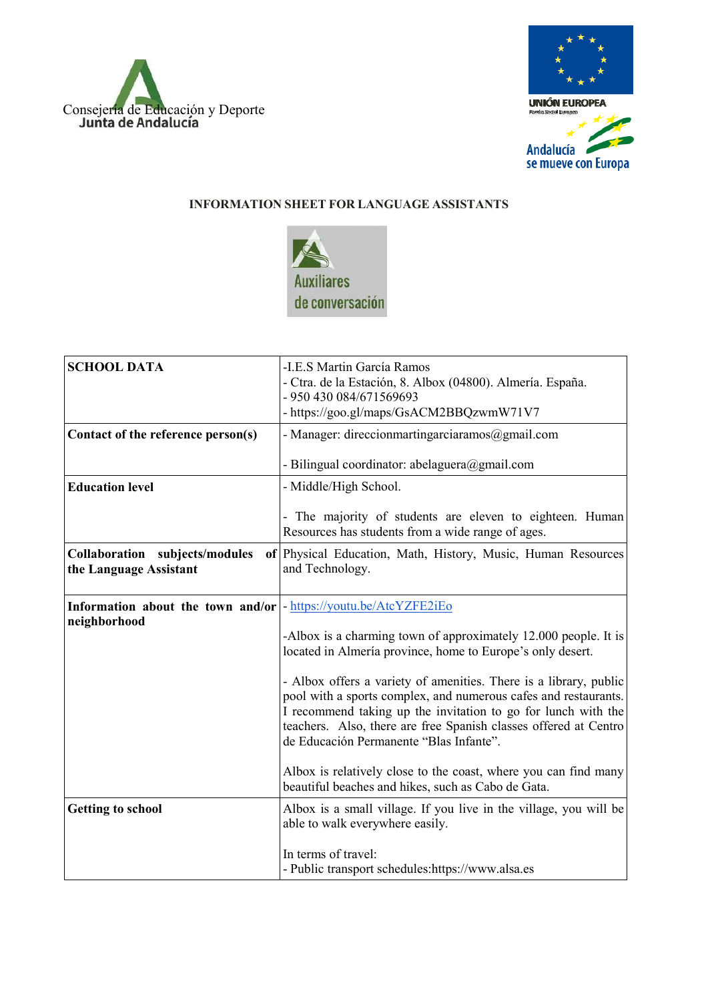



## **INFORMATION SHEET FOR LANGUAGE ASSISTANTS**



| <b>SCHOOL DATA</b>                                                                | -I.E.S Martin García Ramos<br>- Ctra. de la Estación, 8. Albox (04800). Almería. España.<br>- 950 430 084/671569693<br>- https://goo.gl/maps/GsACM2BBQzwmW71V7                                                                                                                                                       |
|-----------------------------------------------------------------------------------|----------------------------------------------------------------------------------------------------------------------------------------------------------------------------------------------------------------------------------------------------------------------------------------------------------------------|
| Contact of the reference person(s)                                                | - Manager: direccionmartingarciaramos@gmail.com                                                                                                                                                                                                                                                                      |
|                                                                                   | - Bilingual coordinator: abelaguera@gmail.com                                                                                                                                                                                                                                                                        |
| <b>Education level</b>                                                            | - Middle/High School.                                                                                                                                                                                                                                                                                                |
|                                                                                   | - The majority of students are eleven to eighteen. Human<br>Resources has students from a wide range of ages.                                                                                                                                                                                                        |
| Collaboration subjects/modules<br>the Language Assistant                          | of Physical Education, Math, History, Music, Human Resources<br>and Technology.                                                                                                                                                                                                                                      |
| Information about the town and/or  - https://youtu.be/AtcYZFE2iEo<br>neighborhood |                                                                                                                                                                                                                                                                                                                      |
|                                                                                   | -Albox is a charming town of approximately 12.000 people. It is<br>located in Almería province, home to Europe's only desert.                                                                                                                                                                                        |
|                                                                                   | - Albox offers a variety of amenities. There is a library, public<br>pool with a sports complex, and numerous cafes and restaurants.<br>I recommend taking up the invitation to go for lunch with the<br>teachers. Also, there are free Spanish classes offered at Centro<br>de Educación Permanente "Blas Infante". |
|                                                                                   | Albox is relatively close to the coast, where you can find many<br>beautiful beaches and hikes, such as Cabo de Gata.                                                                                                                                                                                                |
| <b>Getting to school</b>                                                          | Albox is a small village. If you live in the village, you will be<br>able to walk everywhere easily.                                                                                                                                                                                                                 |
|                                                                                   | In terms of travel:<br>- Public transport schedules:https://www.alsa.es                                                                                                                                                                                                                                              |